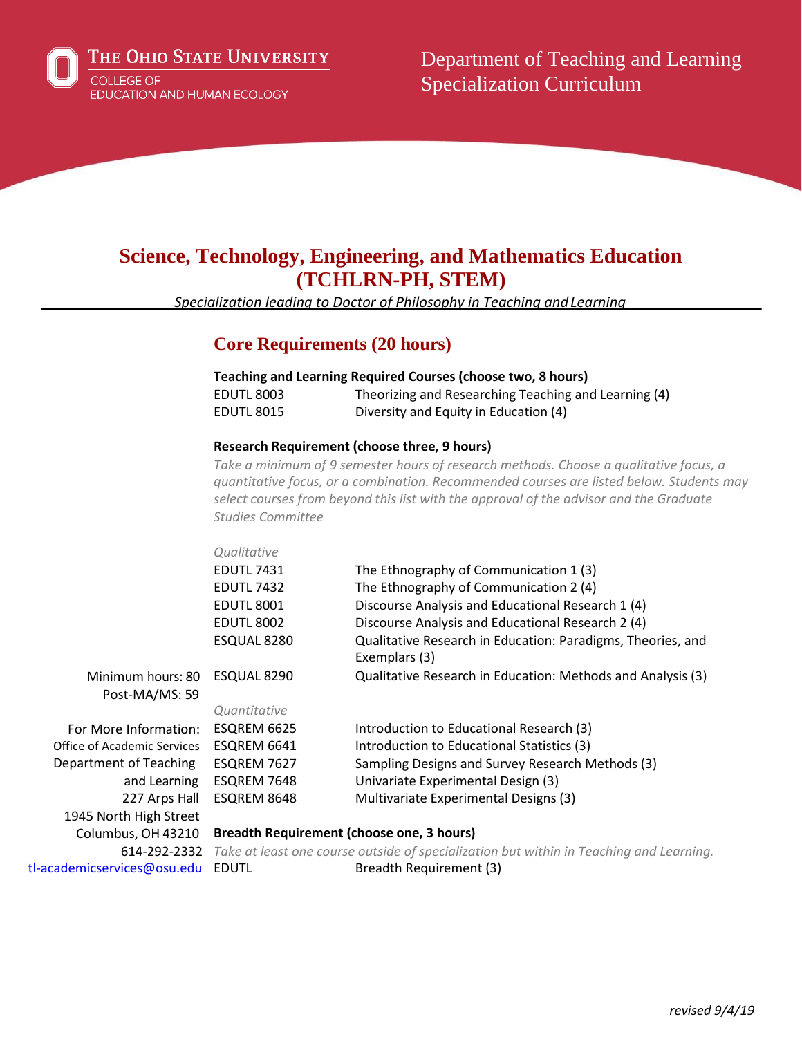

THE OHIO STATE UNIVERSITY **COLLEGE OF** EDUCATION AND HUMAN ECOLOGY

Department of Teaching and Learning Specialization Curriculum

## **Science, Technology, Engineering, and Mathematics Education (TCHLRN-PH, STEM)**

*Specialization leading to Doctor of Philosophy in Teaching andLearning*

# **Core Requirements (20 hours)**

|                                     | <b>EDUTL 8003</b><br><b>EDUTL 8015</b>                                                                         | <b>Teaching and Learning Required Courses (choose two, 8 hours)</b><br>Theorizing and Researching Teaching and Learning (4)<br>Diversity and Equity in Education (4)                                                                                                                                                               |
|-------------------------------------|----------------------------------------------------------------------------------------------------------------|------------------------------------------------------------------------------------------------------------------------------------------------------------------------------------------------------------------------------------------------------------------------------------------------------------------------------------|
|                                     | <b>Studies Committee</b>                                                                                       | <b>Research Requirement (choose three, 9 hours)</b><br>Take a minimum of 9 semester hours of research methods. Choose a qualitative focus, a<br>quantitative focus, or a combination. Recommended courses are listed below. Students may<br>select courses from beyond this list with the approval of the advisor and the Graduate |
|                                     | Qualitative<br><b>EDUTL 7431</b><br><b>EDUTL 7432</b><br><b>EDUTL 8001</b><br><b>EDUTL 8002</b><br>ESQUAL 8280 | The Ethnography of Communication 1 (3)<br>The Ethnography of Communication 2 (4)<br>Discourse Analysis and Educational Research 1 (4)<br>Discourse Analysis and Educational Research 2 (4)<br>Qualitative Research in Education: Paradigms, Theories, and<br>Exemplars (3)                                                         |
| Minimum hours: 80<br>Post-MA/MS: 59 | ESQUAL 8290<br>Quantitative                                                                                    | Qualitative Research in Education: Methods and Analysis (3)                                                                                                                                                                                                                                                                        |
| For More Information:               | ESQREM 6625                                                                                                    | Introduction to Educational Research (3)                                                                                                                                                                                                                                                                                           |
| Office of Academic Services         | ESQREM 6641                                                                                                    | Introduction to Educational Statistics (3)                                                                                                                                                                                                                                                                                         |
| Department of Teaching              | ESQREM 7627                                                                                                    | Sampling Designs and Survey Research Methods (3)                                                                                                                                                                                                                                                                                   |
| and Learning                        | ESQREM 7648                                                                                                    | Univariate Experimental Design (3)                                                                                                                                                                                                                                                                                                 |
| 227 Arps Hall                       | ESQREM 8648                                                                                                    | Multivariate Experimental Designs (3)                                                                                                                                                                                                                                                                                              |
| 1945 North High Street              |                                                                                                                |                                                                                                                                                                                                                                                                                                                                    |
| Columbus, OH 43210                  | <b>Breadth Requirement (choose one, 3 hours)</b>                                                               |                                                                                                                                                                                                                                                                                                                                    |
| 614-292-2332                        |                                                                                                                | Take at least one course outside of specialization but within in Teaching and Learning.                                                                                                                                                                                                                                            |
| m                                   | <b>ENLITE</b>                                                                                                  | <b>Droadth Doquiromont</b> (2)                                                                                                                                                                                                                                                                                                     |

[tl-academicservices@osu.edu](mailto:tl-academicservices@osu.edu) | EDUTL

Breadth Requirement (3)